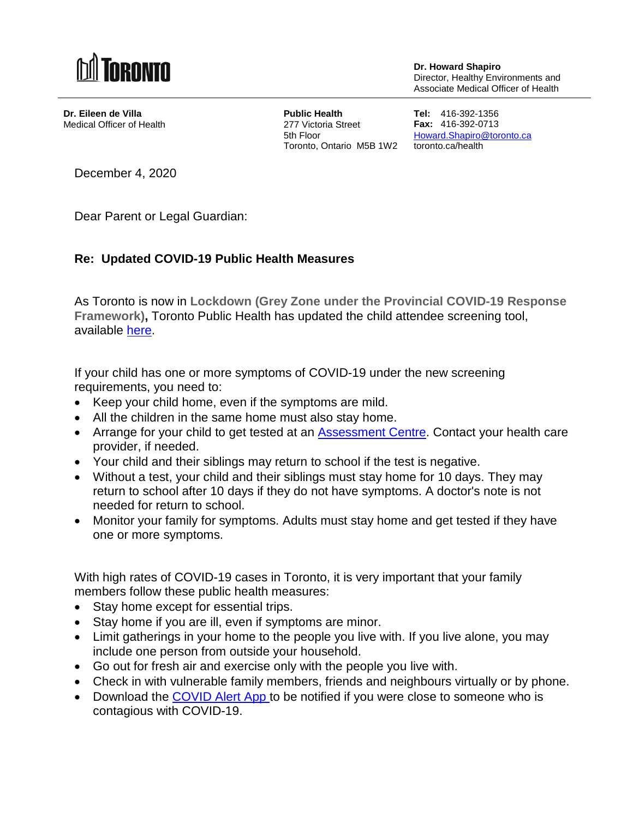

**Dr. Howard Shapiro** Director, Healthy Environments and Associate Medical Officer of Health

**Dr. Eileen de Villa** Medical Officer of Health **Public Health** 277 Victoria Street 5th Floor Toronto, Ontario M5B 1W2 toronto.ca/health

**Tel:** 416-392-1356 **Fax:** 416-392-0713 [Howard.Shapiro@toronto.ca](mailto:Howard.Shapiro@toronto.ca)

December 4, 2020

Dear Parent or Legal Guardian:

## **Re: Updated COVID-19 Public Health Measures**

As Toronto is now in **Lockdown (Grey Zone under the Provincial COVID-19 Response Framework),** Toronto Public Health has updated the child attendee screening tool, available [here.](https://www.toronto.ca/wp-content/uploads/2020/06/8faf-Survey-poster-Child-care-centres-TPH-June-2020.pdf)

If your child has one or more symptoms of COVID-19 under the new screening requirements, you need to:

- Keep your child home, even if the symptoms are mild.
- All the children in the same home must also stay home.
- Arrange for your child to get tested at an [Assessment Centre.](https://www.toronto.ca/home/covid-19/covid-19-what-you-should-do/covid-19-have-symptoms-or-been-exposed/covid-19-assessment-centres/?accordion=assessment-centre-locations-details) Contact your health care provider, if needed.
- Your child and their siblings may return to school if the test is negative.
- Without a test, your child and their siblings must stay home for 10 days. They may return to school after 10 days if they do not have symptoms. A doctor's note is not needed for return to school.
- Monitor your family for symptoms. Adults must stay home and get tested if they have one or more symptoms.

With high rates of COVID-19 cases in Toronto, it is very important that your family members follow these public health measures:

- Stay home except for essential trips.
- Stay home if you are ill, even if symptoms are minor.
- Limit gatherings in your home to the people you live with. If you live alone, you may include one person from outside your household.
- Go out for fresh air and exercise only with the people you live with.
- Check in with vulnerable family members, friends and neighbours virtually or by phone.
- Download the [COVID Alert App t](https://www.canada.ca/en/public-health/services/diseases/coronavirus-disease-covid-19/covid-alert.html)o be notified if you were close to someone who is contagious with COVID-19.